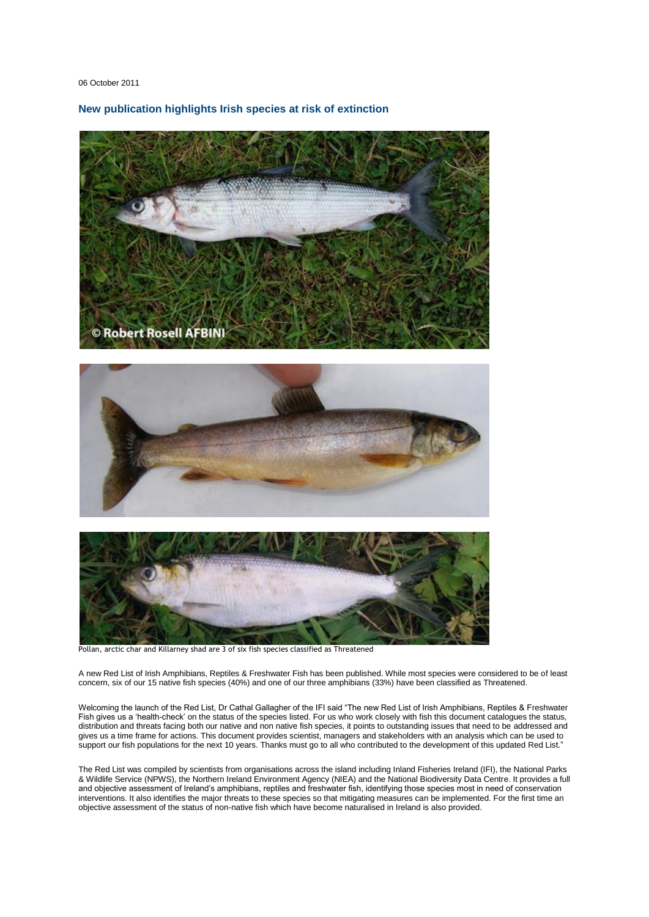06 October 2011

**New publication highlights Irish species at risk of extinction**







Pollan, arctic char and Killarney shad are 3 of six fish species classified as Threatened

A new Red List of Irish Amphibians, Reptiles & Freshwater Fish has been published. While most species were considered to be of least concern, six of our 15 native fish species (40%) and one of our three amphibians (33%) have been classified as Threatened.

Welcoming the launch of the Red List, Dr Cathal Gallagher of the IFI said "The new Red List of Irish Amphibians, Reptiles & Freshwater Fish gives us a "health-check" on the status of the species listed. For us who work closely with fish this document catalogues the status, distribution and threats facing both our native and non native fish species, it points to outstanding issues that need to be addressed and gives us a time frame for actions. This document provides scientist, managers and stakeholders with an analysis which can be used to support our fish populations for the next 10 years. Thanks must go to all who contributed to the development of this updated Red List."

The Red List was compiled by scientists from organisations across the island including Inland Fisheries Ireland (IFI), the National Parks & Wildlife Service (NPWS), the Northern Ireland Environment Agency (NIEA) and the National Biodiversity Data Centre. It provides a full and objective assessment of Ireland"s amphibians, reptiles and freshwater fish, identifying those species most in need of conservation interventions. It also identifies the major threats to these species so that mitigating measures can be implemented. For the first time an objective assessment of the status of non-native fish which have become naturalised in Ireland is also provided.